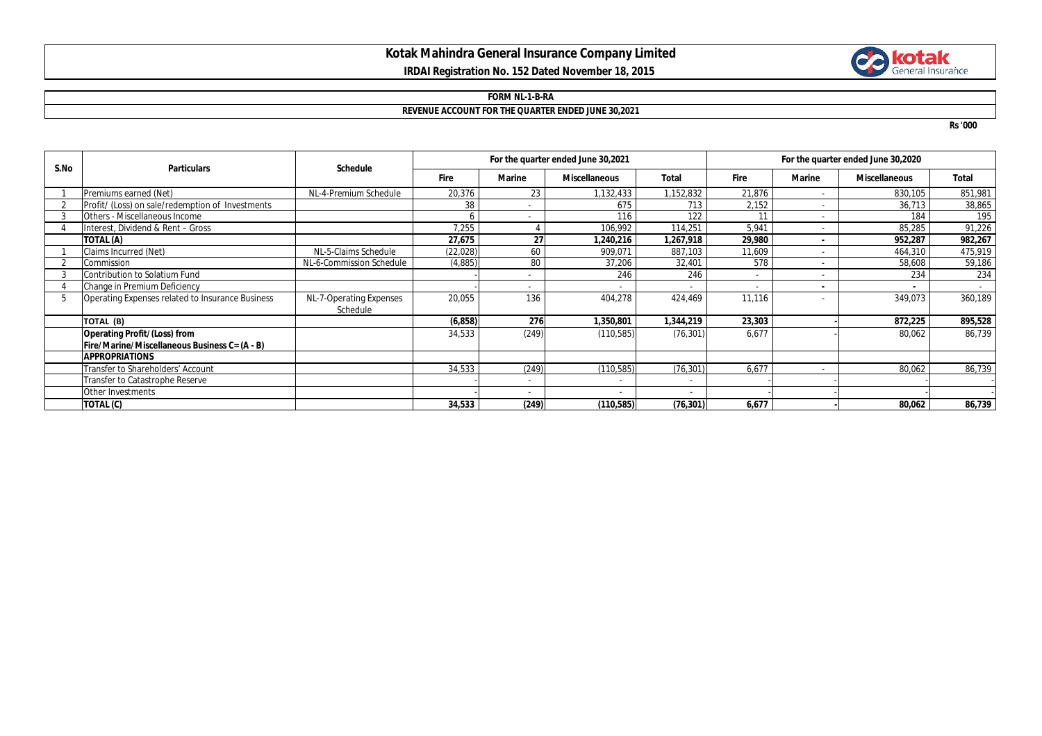# **Kotak Mahindra General Insurance Company Limited IRDAI Registration No. 152 Dated November 18, 2015**



#### **FORM NL-1-B-RA**

## **REVENUE ACCOUNT FOR THE QUARTER ENDED JUNE 30,2021**

**Rs '000**

| S.No | <b>Particulars</b>                               | <b>Schedule</b>          | For the quarter ended June 30,2021 |        |                      |           | For the quarter ended June 30,2020 |                |                      |         |
|------|--------------------------------------------------|--------------------------|------------------------------------|--------|----------------------|-----------|------------------------------------|----------------|----------------------|---------|
|      |                                                  |                          | <b>Fire</b>                        | Marine | <b>Miscellaneous</b> | Total     | <b>Fire</b>                        | <b>Marine</b>  | <b>Miscellaneous</b> | Total   |
|      | Premiums earned (Net)                            | NL-4-Premium Schedule    | 20,376                             | 23     | 1,132,433            | 1,152,832 | 21,876                             | ٠              | 830,105              | 851,981 |
|      | Profit/ (Loss) on sale/redemption of Investments |                          | 38                                 |        | 675                  | 713       | 2,152                              | ٠              | 36,713               | 38,865  |
|      | Others - Miscellaneous Income                    |                          |                                    | $\sim$ | 116                  | 122       | 11                                 |                | 184                  | 195     |
|      | Interest, Dividend & Rent - Gross                |                          | 7,255                              |        | 106,992              | 114,251   | 5,941                              | $\sim$         | 85,285               | 91,226  |
|      | TOTAL (A)                                        |                          | 27,675                             | 27     | ,240,216             | 1,267,918 | 29,980                             | $\blacksquare$ | 952,287              | 982,267 |
|      | Claims Incurred (Net)                            | NL-5-Claims Schedule     | (22, 028)                          | 60     | 909.071              | 887,103   | 11.609                             |                | 464,310              | 475,919 |
|      | Commission                                       | NL-6-Commission Schedule | (4,885)                            | 80     | 37,206               | 32,401    | 578                                | ٠              | 58,608               | 59,186  |
|      | Contribution to Solatium Fund                    |                          |                                    |        | 246                  | 246       | ٠                                  | ٠              | 234                  | 234     |
|      | Change in Premium Deficiency                     |                          |                                    | $\sim$ |                      |           |                                    | $\blacksquare$ |                      |         |
| 5    | Operating Expenses related to Insurance Business | NL-7-Operating Expenses  | 20,055                             | 136    | 404,278              | 424,469   | 11,116                             |                | 349,073              | 360,189 |
|      |                                                  | Schedule                 |                                    |        |                      |           |                                    |                |                      |         |
|      | TOTAL (B)                                        |                          | (6, 858)                           | 276    | 350,801,             | 1,344,219 | 23,303                             |                | 872,225              | 895,528 |
|      | <b>Operating Profit/(Loss) from</b>              |                          | 34,533                             | (249)  | (110, 585)           | (76, 301) | 6,677                              |                | 80,062               | 86,739  |
|      | Fire/Marine/Miscellaneous Business C= (A - B)    |                          |                                    |        |                      |           |                                    |                |                      |         |
|      | <b>APPROPRIATIONS</b>                            |                          |                                    |        |                      |           |                                    |                |                      |         |
|      | Transfer to Shareholders' Account                |                          | 34,533                             | (249)  | (110, 585)           | (76, 301) | 6,677                              | ٠              | 80,062               | 86,739  |
|      | Transfer to Catastrophe Reserve                  |                          |                                    |        |                      |           |                                    |                |                      |         |
|      | Other Investments                                |                          |                                    |        |                      |           |                                    |                |                      |         |
|      | TOTAL (C)                                        |                          | 34,533                             | (249)  | (110,585)            | (76, 301) | 6,677                              |                | 80,062               | 86,739  |